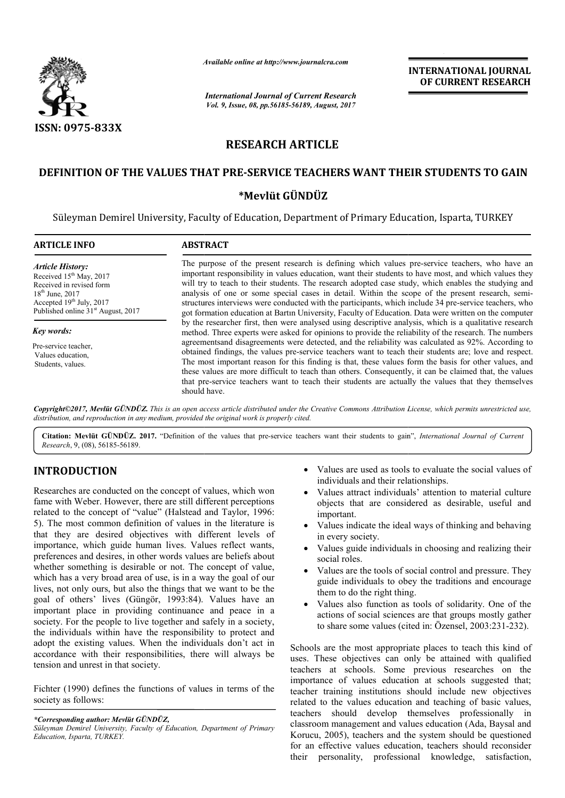

*Available online at http://www.journal http://www.journalcra.com*

# **RESEARCH ARTICLE**

# **DEFINITION OF THE VALUES THAT PRE PRE-SERVICE TEACHERS WANT THEIR STUDENTS TO GAIN SERVICE WANT THEIR STUDENTS TO**

# **\*Mevlüt GÜNDÜZ**

|                                                                                                                                                                                                                                                                                                                                                                                              | лүшише опине иг пир.//www.journatera.com<br><b>International Journal of Current Research</b>                                                                                                                                                                                                                                                                                                                                                                                                                                                                                                                                                                                                                                                      |                                              | <b>INTERNATIONAL JOURNAL</b><br>OF CURRENT RESEARCH                                                                                                                                                                                                |
|----------------------------------------------------------------------------------------------------------------------------------------------------------------------------------------------------------------------------------------------------------------------------------------------------------------------------------------------------------------------------------------------|---------------------------------------------------------------------------------------------------------------------------------------------------------------------------------------------------------------------------------------------------------------------------------------------------------------------------------------------------------------------------------------------------------------------------------------------------------------------------------------------------------------------------------------------------------------------------------------------------------------------------------------------------------------------------------------------------------------------------------------------------|----------------------------------------------|----------------------------------------------------------------------------------------------------------------------------------------------------------------------------------------------------------------------------------------------------|
|                                                                                                                                                                                                                                                                                                                                                                                              | Vol. 9, Issue, 08, pp.56185-56189, August, 2017                                                                                                                                                                                                                                                                                                                                                                                                                                                                                                                                                                                                                                                                                                   |                                              |                                                                                                                                                                                                                                                    |
| <b>ISSN: 0975-833X</b>                                                                                                                                                                                                                                                                                                                                                                       |                                                                                                                                                                                                                                                                                                                                                                                                                                                                                                                                                                                                                                                                                                                                                   |                                              |                                                                                                                                                                                                                                                    |
|                                                                                                                                                                                                                                                                                                                                                                                              | <b>RESEARCH ARTICLE</b>                                                                                                                                                                                                                                                                                                                                                                                                                                                                                                                                                                                                                                                                                                                           |                                              |                                                                                                                                                                                                                                                    |
|                                                                                                                                                                                                                                                                                                                                                                                              |                                                                                                                                                                                                                                                                                                                                                                                                                                                                                                                                                                                                                                                                                                                                                   |                                              | DEFINITION OF THE VALUES THAT PRE-SERVICE TEACHERS WANT THEIR STUDENTS TO GAIN                                                                                                                                                                     |
|                                                                                                                                                                                                                                                                                                                                                                                              | *Mevlüt GÜNDÜZ                                                                                                                                                                                                                                                                                                                                                                                                                                                                                                                                                                                                                                                                                                                                    |                                              |                                                                                                                                                                                                                                                    |
|                                                                                                                                                                                                                                                                                                                                                                                              | Süleyman Demirel University, Faculty of Education, Department of Primary Education, Isparta, TURKEY                                                                                                                                                                                                                                                                                                                                                                                                                                                                                                                                                                                                                                               |                                              |                                                                                                                                                                                                                                                    |
| <b>ARTICLE INFO</b>                                                                                                                                                                                                                                                                                                                                                                          | <b>ABSTRACT</b>                                                                                                                                                                                                                                                                                                                                                                                                                                                                                                                                                                                                                                                                                                                                   |                                              |                                                                                                                                                                                                                                                    |
| <b>Article History:</b><br>Received 15 <sup>th</sup> May, 2017<br>Received in revised form<br>18 <sup>th</sup> June, 2017<br>Accepted 19th July, 2017<br>Published online 31 <sup>st</sup> August, 2017                                                                                                                                                                                      | The purpose of the present research is defining which values pre-service teachers, who have an<br>important responsibility in values education, want their students to have most, and which values they<br>will try to teach to their students. The research adopted case study, which enables the studying and<br>analysis of one or some special cases in detail. Within the scope of the present research, semi-<br>structures interviews were conducted with the participants, which include 34 pre-service teachers, who<br>got formation education at Bartin University, Faculty of Education. Data were written on the computer<br>by the researcher first, then were analysed using descriptive analysis, which is a qualitative research |                                              |                                                                                                                                                                                                                                                    |
| Key words:                                                                                                                                                                                                                                                                                                                                                                                   |                                                                                                                                                                                                                                                                                                                                                                                                                                                                                                                                                                                                                                                                                                                                                   |                                              | method. Three experts were asked for opinions to provide the reliability of the research. The numbers                                                                                                                                              |
| Pre-service teacher,<br>Values education,<br>Students, values.                                                                                                                                                                                                                                                                                                                               | agreements and disagreements were detected, and the reliability was calculated as 92%. According to<br>obtained findings, the values pre-service teachers want to teach their students are; love and respect.<br>The most important reason for this finding is that, these values form the basis for other values, and<br>these values are more difficult to teach than others. Consequently, it can be claimed that, the values<br>that pre-service teachers want to teach their students are actually the values that they themselves<br>should have.                                                                                                                                                                                           |                                              |                                                                                                                                                                                                                                                    |
|                                                                                                                                                                                                                                                                                                                                                                                              | distribution, and reproduction in any medium, provided the original work is properly cited.                                                                                                                                                                                                                                                                                                                                                                                                                                                                                                                                                                                                                                                       |                                              | Copyright@2017, Mevlut GÜNDÜZ. This is an open access article distributed under the Creative Commons Attribution License, which permits unrestricted use,                                                                                          |
| Research, 9, (08), 56185-56189.                                                                                                                                                                                                                                                                                                                                                              | Citation: Mevlüt GÜNDÜZ. 2017. "Definition of the values that pre-service teachers want their students to gain", International Journal of Current                                                                                                                                                                                                                                                                                                                                                                                                                                                                                                                                                                                                 |                                              |                                                                                                                                                                                                                                                    |
| <b>INTRODUCTION</b>                                                                                                                                                                                                                                                                                                                                                                          |                                                                                                                                                                                                                                                                                                                                                                                                                                                                                                                                                                                                                                                                                                                                                   | individuals and their relationships.         | Values are used as tools to evaluate the social values of                                                                                                                                                                                          |
| Researches are conducted on the concept of values, which won<br>fame with Weber. However, there are still different perceptions<br>related to the concept of "value" (Halstead and Taylor, 1996:<br>5). The most common definition of values in the literature is<br>that they are desired objectives with different levels of<br>importance, which guide human lives. Values reflect wants, |                                                                                                                                                                                                                                                                                                                                                                                                                                                                                                                                                                                                                                                                                                                                                   | important.<br>$\bullet$<br>in every society. | Values attract individuals' attention to material culture<br>objects that are considered as desirable, useful and<br>Values indicate the ideal ways of thinking and behaving                                                                       |
| preferences and desires, in other words values are beliefs about                                                                                                                                                                                                                                                                                                                             |                                                                                                                                                                                                                                                                                                                                                                                                                                                                                                                                                                                                                                                                                                                                                   | $\bullet$<br>social roles.                   | Values guide individuals in choosing and realizing their                                                                                                                                                                                           |
| whether something is desirable or not. The concept of value,<br>which has a very broad area of use, is in a way the goal of our<br>lives, not only ours, but also the things that we want to be the<br>goal of others' lives (Güngör, 1993:84). Values have an                                                                                                                               |                                                                                                                                                                                                                                                                                                                                                                                                                                                                                                                                                                                                                                                                                                                                                   | $\bullet$<br>them to do the right thing.     | Values are the tools of social control and pressure. They<br>guide individuals to obey the traditions and encourage                                                                                                                                |
| important place in providing continuance and peace in a<br>society. For the people to live together and safely in a society,<br>the individuals within have the responsibility to protect and                                                                                                                                                                                                |                                                                                                                                                                                                                                                                                                                                                                                                                                                                                                                                                                                                                                                                                                                                                   | ٠                                            | Values also function as tools of solidarity. One of the<br>actions of social sciences are that groups mostly gather<br>to share some values (cited in: Özensel, 2003:231-232).                                                                     |
| adopt the existing values. When the individuals don't act in<br>accordance with their responsibilities, there will always be<br>tension and unrest in that society.                                                                                                                                                                                                                          |                                                                                                                                                                                                                                                                                                                                                                                                                                                                                                                                                                                                                                                                                                                                                   |                                              | Schools are the most appropriate places to teach this kind of<br>uses. These objectives can only be attained with qualified<br>teachers at schools. Some previous researches on the                                                                |
| Fichter (1990) defines the functions of values in terms of the<br>society as follows:                                                                                                                                                                                                                                                                                                        |                                                                                                                                                                                                                                                                                                                                                                                                                                                                                                                                                                                                                                                                                                                                                   |                                              | importance of values education at schools suggested that;<br>teacher training institutions should include new objectives<br>related to the values education and teaching of basic values,                                                          |
| *Corresponding author: Mevlüt GÜNDÜZ,<br>Süleyman Demirel University, Faculty of Education, Department of Primary<br>Education, Isparta, TURKEY.                                                                                                                                                                                                                                             |                                                                                                                                                                                                                                                                                                                                                                                                                                                                                                                                                                                                                                                                                                                                                   |                                              | teachers should develop themselves professionally in<br>classroom management and values education (Ada, Baysal and<br>Korucu, 2005), teachers and the system should be questioned<br>for an effective values education, teachers should reconsider |

# **INTRODUCTION**

- individuals and their relationships.
- Values attract individuals' attention to material culture objects that are considered as desirable, useful and important. Values are used as tools to evaluate the social values of<br>individuals and their relationships.<br>Values attract individuals' attention to material culture<br>objects that are considered as desirable, useful and<br>important.<br>Value
- Values indicate the ideal ways of thinking and behaving in every society.
- Values guide individuals in choosing and realizing their social roles.
- Values are the tools of social control and pressure. They guide individuals to obey the traditions and encourage them to do the right thing.
- Values also function as tools of solidarity. One of the actions of social sciences are that groups mostly gather to share some values (cited in: Özensel, 2003:231-232).

Schools are the most appropriate places to teach this kind of uses. These objectives can only be attained with qualified teachers at schools. Some previous researches on the importance of values education at schools suggested that; teacher training institutions should include new objectives related to the values education and teaching of basic values, teachers should develop themselves professionally in classroom management and values education (Ada, Baysal and Korucu, 2005), teachers and the system should be questioned for an effective values education, teachers should reconsider their personality, professional knowledge, satisfaction, Is are the most appropriate places to teach this kind of These objectives can only be attained with qualified rs at schools. Some previous researches on the tance of values education at schools suggested that; r training i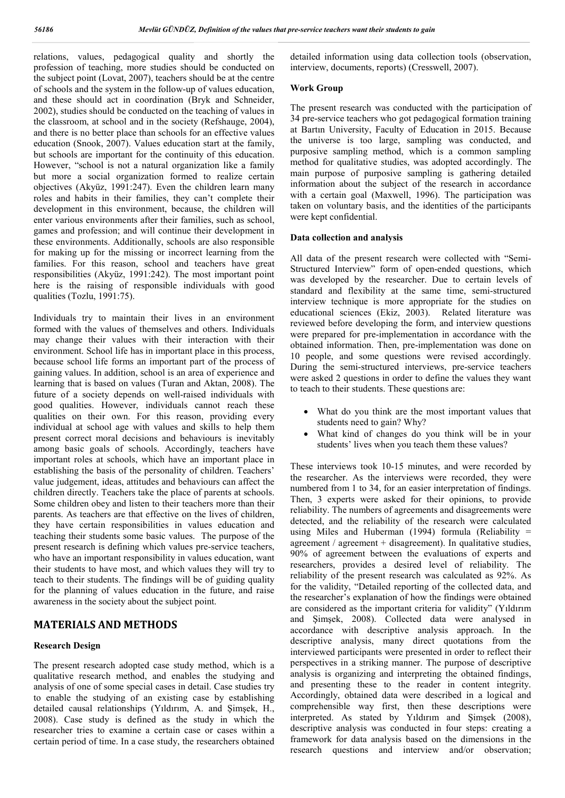relations, values, pedagogical quality and shortly the profession of teaching, more studies should be conducted on the subject point (Lovat, 2007), teachers should be at the centre of schools and the system in the follow-up of values education, and these should act in coordination (Bryk and Schneider, 2002), studies should be conducted on the teaching of values in the classroom, at school and in the society (Refshauge, 2004), and there is no better place than schools for an effective values education (Snook, 2007). Values education start at the family, but schools are important for the continuity of this education. However, "school is not a natural organization like a family but more a social organization formed to realize certain objectives (Akyüz, 1991:247). Even the children learn many roles and habits in their families, they can't complete their development in this environment, because, the children will enter various environments after their families, such as school, games and profession; and will continue their development in these environments. Additionally, schools are also responsible for making up for the missing or incorrect learning from the families. For this reason, school and teachers have great responsibilities (Akyüz, 1991:242). The most important point here is the raising of responsible individuals with good qualities (Tozlu, 1991:75).

Individuals try to maintain their lives in an environment formed with the values of themselves and others. Individuals may change their values with their interaction with their environment. School life has in important place in this process, because school life forms an important part of the process of gaining values. In addition, school is an area of experience and learning that is based on values (Turan and Aktan, 2008). The future of a society depends on well-raised individuals with good qualities. However, individuals cannot reach these qualities on their own. For this reason, providing every individual at school age with values and skills to help them present correct moral decisions and behaviours is inevitably among basic goals of schools. Accordingly, teachers have important roles at schools, which have an important place in establishing the basis of the personality of children. Teachers' value judgement, ideas, attitudes and behaviours can affect the children directly. Teachers take the place of parents at schools. Some children obey and listen to their teachers more than their parents. As teachers are that effective on the lives of children, they have certain responsibilities in values education and teaching their students some basic values. The purpose of the present research is defining which values pre-service teachers, who have an important responsibility in values education, want their students to have most, and which values they will try to teach to their students. The findings will be of guiding quality for the planning of values education in the future, and raise awareness in the society about the subject point.

# **MATERIALS AND METHODS**

## **Research Design**

The present research adopted case study method, which is a qualitative research method, and enables the studying and analysis of one of some special cases in detail. Case studies try to enable the studying of an existing case by establishing detailed causal relationships (Yıldırım, A. and Şimşek, H., 2008). Case study is defined as the study in which the researcher tries to examine a certain case or cases within a certain period of time. In a case study, the researchers obtained

detailed information using data collection tools (observation, interview, documents, reports) (Cresswell, 2007).

### **Work Group**

The present research was conducted with the participation of 34 pre-service teachers who got pedagogical formation training at Bartın University, Faculty of Education in 2015. Because the universe is too large, sampling was conducted, and purposive sampling method, which is a common sampling method for qualitative studies, was adopted accordingly. The main purpose of purposive sampling is gathering detailed information about the subject of the research in accordance with a certain goal (Maxwell, 1996). The participation was taken on voluntary basis, and the identities of the participants were kept confidential.

#### **Data collection and analysis**

All data of the present research were collected with "Semi-Structured Interview" form of open-ended questions, which was developed by the researcher. Due to certain levels of standard and flexibility at the same time, semi-structured interview technique is more appropriate for the studies on educational sciences (Ekiz, 2003). Related literature was reviewed before developing the form, and interview questions were prepared for pre-implementation in accordance with the obtained information. Then, pre-implementation was done on 10 people, and some questions were revised accordingly. During the semi-structured interviews, pre-service teachers were asked 2 questions in order to define the values they want to teach to their students. These questions are:

- What do you think are the most important values that students need to gain? Why?
- What kind of changes do you think will be in your students' lives when you teach them these values?

These interviews took 10-15 minutes, and were recorded by the researcher. As the interviews were recorded, they were numbered from 1 to 34, for an easier interpretation of findings. Then, 3 experts were asked for their opinions, to provide reliability. The numbers of agreements and disagreements were detected, and the reliability of the research were calculated using Miles and Huberman (1994) formula (Reliability  $=$ agreement / agreement + disagreement). In qualitative studies, 90% of agreement between the evaluations of experts and researchers, provides a desired level of reliability. The reliability of the present research was calculated as 92%. As for the validity, "Detailed reporting of the collected data, and the researcher's explanation of how the findings were obtained are considered as the important criteria for validity" (Yıldırım and Şimşek, 2008). Collected data were analysed in accordance with descriptive analysis approach. In the descriptive analysis, many direct quotations from the interviewed participants were presented in order to reflect their perspectives in a striking manner. The purpose of descriptive analysis is organizing and interpreting the obtained findings, and presenting these to the reader in content integrity. Accordingly, obtained data were described in a logical and comprehensible way first, then these descriptions were interpreted. As stated by Yıldırım and Şimşek (2008), descriptive analysis was conducted in four steps: creating a framework for data analysis based on the dimensions in the research questions and interview and/or observation;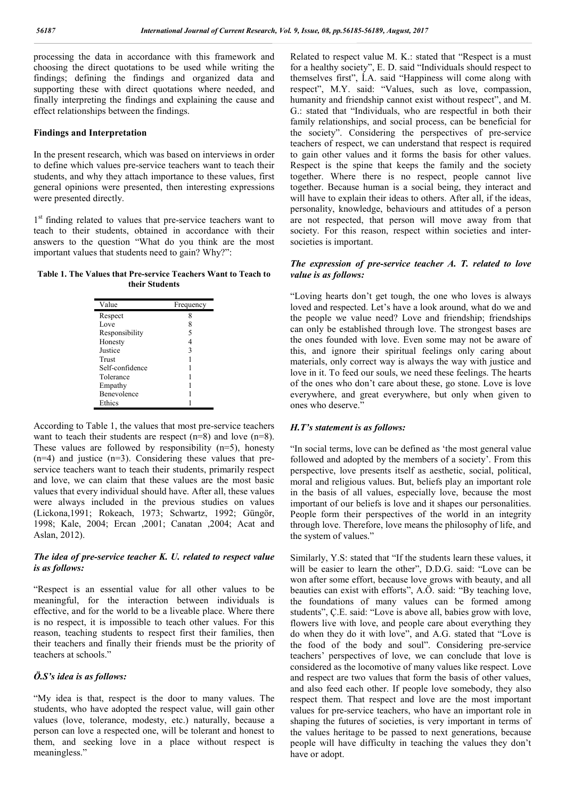processing the data in accordance with this framework and choosing the direct quotations to be used while writing the findings; defining the findings and organized data and supporting these with direct quotations where needed, and finally interpreting the findings and explaining the cause and effect relationships between the findings.

#### **Findings and Interpretation**

In the present research, which was based on interviews in order to define which values pre-service teachers want to teach their students, and why they attach importance to these values, first general opinions were presented, then interesting expressions were presented directly.

1<sup>st</sup> finding related to values that pre-service teachers want to teach to their students, obtained in accordance with their answers to the question "What do you think are the most important values that students need to gain? Why?":

**Table 1. The Values that Pre-service Teachers Want to Teach to their Students**

| Value              | Frequency |
|--------------------|-----------|
| Respect            | 8         |
| Love               | 8         |
| Responsibility     | 5         |
| Honesty            | 4         |
| Justice            | 3         |
| Trust              |           |
| Self-confidence    |           |
| Tolerance          |           |
| Empathy            |           |
| <b>Benevolence</b> |           |
| Ethics             |           |

According to Table 1, the values that most pre-service teachers want to teach their students are respect (n=8) and love (n=8). These values are followed by responsibility (n=5), honesty (n=4) and justice (n=3). Considering these values that preservice teachers want to teach their students, primarily respect and love, we can claim that these values are the most basic values that every individual should have. After all, these values were always included in the previous studies on values (Lickona,1991; Rokeach, 1973; Schwartz, 1992; Güngör, 1998; Kale, 2004; Ercan ,2001; Canatan ,2004; Acat and Aslan, 2012).

## *The idea of pre-service teacher K. U. related to respect value is as follows:*

"Respect is an essential value for all other values to be meaningful, for the interaction between individuals is effective, and for the world to be a liveable place. Where there is no respect, it is impossible to teach other values. For this reason, teaching students to respect first their families, then their teachers and finally their friends must be the priority of teachers at schools."

### *Ö.S's idea is as follows:*

"My idea is that, respect is the door to many values. The students, who have adopted the respect value, will gain other values (love, tolerance, modesty, etc.) naturally, because a person can love a respected one, will be tolerant and honest to them, and seeking love in a place without respect is meaningless."

Related to respect value M. K.: stated that "Respect is a must for a healthy society", E. D. said "Individuals should respect to themselves first", İ.A. said "Happiness will come along with respect", M.Y. said: "Values, such as love, compassion, humanity and friendship cannot exist without respect", and M. G.: stated that "Individuals, who are respectful in both their family relationships, and social process, can be beneficial for the society". Considering the perspectives of pre-service teachers of respect, we can understand that respect is required to gain other values and it forms the basis for other values. Respect is the spine that keeps the family and the society together. Where there is no respect, people cannot live together. Because human is a social being, they interact and will have to explain their ideas to others. After all, if the ideas, personality, knowledge, behaviours and attitudes of a person are not respected, that person will move away from that society. For this reason, respect within societies and intersocieties is important.

### *The expression of pre-service teacher A. T. related to love value is as follows:*

"Loving hearts don't get tough, the one who loves is always loved and respected. Let's have a look around, what do we and the people we value need? Love and friendship; friendships can only be established through love. The strongest bases are the ones founded with love. Even some may not be aware of this, and ignore their spiritual feelings only caring about materials, only correct way is always the way with justice and love in it. To feed our souls, we need these feelings. The hearts of the ones who don't care about these, go stone. Love is love everywhere, and great everywhere, but only when given to ones who deserve."

#### *H.T's statement is as follows:*

"In social terms, love can be defined as 'the most general value followed and adopted by the members of a society'. From this perspective, love presents itself as aesthetic, social, political, moral and religious values. But, beliefs play an important role in the basis of all values, especially love, because the most important of our beliefs is love and it shapes our personalities. People form their perspectives of the world in an integrity through love. Therefore, love means the philosophy of life, and the system of values."

Similarly, Y.S: stated that "If the students learn these values, it will be easier to learn the other", D.D.G. said: "Love can be won after some effort, because love grows with beauty, and all beauties can exist with efforts", A.Ö. said: "By teaching love, the foundations of many values can be formed among students", Ç.E. said: "Love is above all, babies grow with love, flowers live with love, and people care about everything they do when they do it with love", and A.G. stated that "Love is the food of the body and soul". Considering pre-service teachers' perspectives of love, we can conclude that love is considered as the locomotive of many values like respect. Love and respect are two values that form the basis of other values, and also feed each other. If people love somebody, they also respect them. That respect and love are the most important values for pre-service teachers, who have an important role in shaping the futures of societies, is very important in terms of the values heritage to be passed to next generations, because people will have difficulty in teaching the values they don't have or adopt.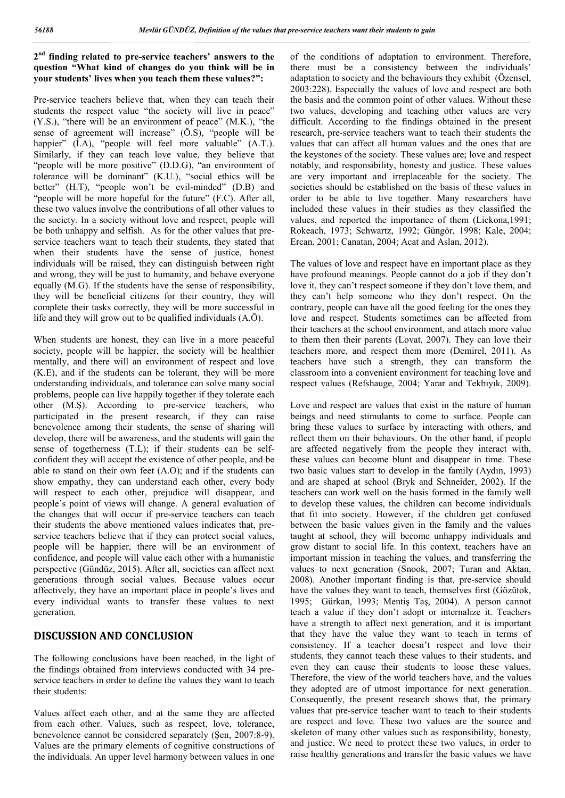## **2nd finding related to pre-service teachers' answers to the question "What kind of changes do you think will be in your students' lives when you teach them these values?":**

Pre-service teachers believe that, when they can teach their students the respect value "the society will live in peace" (Y.S.), "there will be an environment of peace" (M.K.), "the sense of agreement will increase" (Ö.S), "people will be happier" (I.A), "people will feel more valuable" (A.T.). Similarly, if they can teach love value, they believe that "people will be more positive" (D.D.G), "an environment of tolerance will be dominant" (K.U.), "social ethics will be better" (H.T), "people won't be evil-minded" (D.B) and "people will be more hopeful for the future" (F.C). After all, these two values involve the contributions of all other values to the society. In a society without love and respect, people will be both unhappy and selfish. As for the other values that preservice teachers want to teach their students, they stated that when their students have the sense of justice, honest individuals will be raised, they can distinguish between right and wrong, they will be just to humanity, and behave everyone equally (M.G). If the students have the sense of responsibility, they will be beneficial citizens for their country, they will complete their tasks correctly, they will be more successful in life and they will grow out to be qualified individuals (A.Ö).

When students are honest, they can live in a more peaceful society, people will be happier, the society will be healthier mentally, and there will an environment of respect and love (K.E), and if the students can be tolerant, they will be more understanding individuals, and tolerance can solve many social problems, people can live happily together if they tolerate each other (M.Ş). According to pre-service teachers, who participated in the present research, if they can raise benevolence among their students, the sense of sharing will develop, there will be awareness, and the students will gain the sense of togetherness (T.L); if their students can be selfconfident they will accept the existence of other people, and be able to stand on their own feet (A.O); and if the students can show empathy, they can understand each other, every body will respect to each other, prejudice will disappear, and people's point of views will change. A general evaluation of the changes that will occur if pre-service teachers can teach their students the above mentioned values indicates that, preservice teachers believe that if they can protect social values, people will be happier, there will be an environment of confidence, and people will value each other with a humanistic perspective (Gündüz, 2015). After all, societies can affect next generations through social values. Because values occur affectively, they have an important place in people's lives and every individual wants to transfer these values to next generation.

# **DISCUSSION AND CONCLUSION**

The following conclusions have been reached, in the light of the findings obtained from interviews conducted with 34 preservice teachers in order to define the values they want to teach their students:

Values affect each other, and at the same they are affected from each other. Values, such as respect, love, tolerance, benevolence cannot be considered separately (Şen, 2007:8-9). Values are the primary elements of cognitive constructions of the individuals. An upper level harmony between values in one

of the conditions of adaptation to environment. Therefore, there must be a consistency between the individuals' adaptation to society and the behaviours they exhibit (Özensel, 2003:228). Especially the values of love and respect are both the basis and the common point of other values. Without these two values, developing and teaching other values are very difficult. According to the findings obtained in the present research, pre-service teachers want to teach their students the values that can affect all human values and the ones that are the keystones of the society. These values are; love and respect notably, and responsibility, honesty and justice. These values are very important and irreplaceable for the society. The societies should be established on the basis of these values in order to be able to live together. Many researchers have included these values in their studies as they classified the values, and reported the importance of them (Lickona,1991; Rokeach, 1973; Schwartz, 1992; Güngör, 1998; Kale, 2004; Ercan, 2001; Canatan, 2004; Acat and Aslan, 2012).

The values of love and respect have en important place as they have profound meanings. People cannot do a job if they don't love it, they can't respect someone if they don't love them, and they can't help someone who they don't respect. On the contrary, people can have all the good feeling for the ones they love and respect. Students sometimes can be affected from their teachers at the school environment, and attach more value to them then their parents (Lovat, 2007). They can love their teachers more, and respect them more (Demirel, 2011). As teachers have such a strength, they can transform the classroom into a convenient environment for teaching love and respect values (Refshauge, 2004; Yarar and Tekbıyık, 2009).

Love and respect are values that exist in the nature of human beings and need stimulants to come to surface. People can bring these values to surface by interacting with others, and reflect them on their behaviours. On the other hand, if people are affected negatively from the people they interact with, these values can become blunt and disappear in time. These two basic values start to develop in the family (Aydın, 1993) and are shaped at school (Bryk and Schneider, 2002). If the teachers can work well on the basis formed in the family well to develop these values, the children can become individuals that fit into society. However, if the children get confused between the basic values given in the family and the values taught at school, they will become unhappy individuals and grow distant to social life. In this context, teachers have an important mission in teaching the values, and transferring the values to next generation (Snook, 2007; Turan and Aktan, 2008). Another important finding is that, pre-service should have the values they want to teach, themselves first (Gözütok, 1995; Gürkan, 1993; Mentiş Taş, 2004). A person cannot teach a value if they don't adopt or internalize it. Teachers have a strength to affect next generation, and it is important that they have the value they want to teach in terms of consistency. If a teacher doesn't respect and love their students, they cannot teach these values to their students, and even they can cause their students to loose these values. Therefore, the view of the world teachers have, and the values they adopted are of utmost importance for next generation. Consequently, the present research shows that, the primary values that pre-service teacher want to teach to their students are respect and love. These two values are the source and skeleton of many other values such as responsibility, honesty, and justice. We need to protect these two values, in order to raise healthy generations and transfer the basic values we have